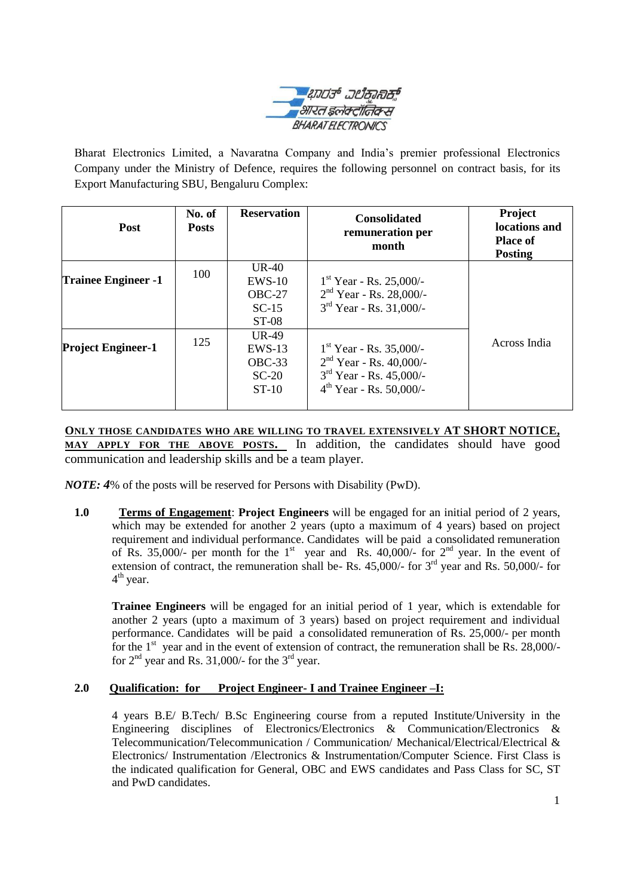

Bharat Electronics Limited, a Navaratna Company and India's premier professional Electronics Company under the Ministry of Defence, requires the following personnel on contract basis, for its Export Manufacturing SBU, Bengaluru Complex:

| Post                       | No. of<br><b>Posts</b> | <b>Reservation</b>                                    | <b>Consolidated</b><br>remuneration per<br>month                                                                    | Project<br>locations and<br><b>Place of</b><br><b>Posting</b> |  |
|----------------------------|------------------------|-------------------------------------------------------|---------------------------------------------------------------------------------------------------------------------|---------------------------------------------------------------|--|
| <b>Trainee Engineer -1</b> | 100                    | UR-40<br>$EWS-10$<br>$OBC-27$<br>$SC-15$<br>$ST-08$   | $1st$ Year - Rs. 25,000/-<br>$2nd$ Year - Rs. 28,000/-<br>$3rd$ Year - Rs. 31,000/-                                 |                                                               |  |
| <b>Project Engineer-1</b>  | 125                    | $UR-49$<br>$EWS-13$<br>$OBC-33$<br>$SC-20$<br>$ST-10$ | $1st$ Year - Rs. 35,000/-<br>$2nd$ Year - Rs. 40,000/-<br>$3rd$ Year - Rs. 45,000/-<br>$4^{th}$ Year - Rs. 50,000/- | Across India                                                  |  |

**ONLY THOSE CANDIDATES WHO ARE WILLING TO TRAVEL EXTENSIVELY AT SHORT NOTICE, MAY APPLY FOR THE ABOVE POSTS.** In addition, the candidates should have good communication and leadership skills and be a team player.

*NOTE:* 4% of the posts will be reserved for Persons with Disability (PwD).

**1.0 Terms of Engagement**: **Project Engineers** will be engaged for an initial period of 2 years, which may be extended for another 2 years (upto a maximum of 4 years) based on project requirement and individual performance. Candidates will be paid a consolidated remuneration of Rs. 35,000/- per month for the 1<sup>st</sup> year and Rs. 40,000/- for  $2<sup>nd</sup>$  year. In the event of extension of contract, the remuneration shall be- Rs.  $45,000/$ - for  $3<sup>rd</sup>$  year and Rs. 50,000/- for 4<sup>th</sup> year.

**Trainee Engineers** will be engaged for an initial period of 1 year, which is extendable for another 2 years (upto a maximum of 3 years) based on project requirement and individual performance. Candidates will be paid a consolidated remuneration of Rs. 25,000/- per month for the  $1<sup>st</sup>$  year and in the event of extension of contract, the remuneration shall be Rs. 28,000/for  $2<sup>nd</sup>$  year and Rs. 31,000/- for the  $3<sup>rd</sup>$  year.

## **2.0 Qualification: for Project Engineer- I and Trainee Engineer –I:**

4 years B.E/ B.Tech/ B.Sc Engineering course from a reputed Institute/University in the Engineering disciplines of Electronics/Electronics & Communication/Electronics & Telecommunication/Telecommunication / Communication/ Mechanical/Electrical/Electrical & Electronics/ Instrumentation /Electronics & Instrumentation/Computer Science. First Class is the indicated qualification for General, OBC and EWS candidates and Pass Class for SC, ST and PwD candidates.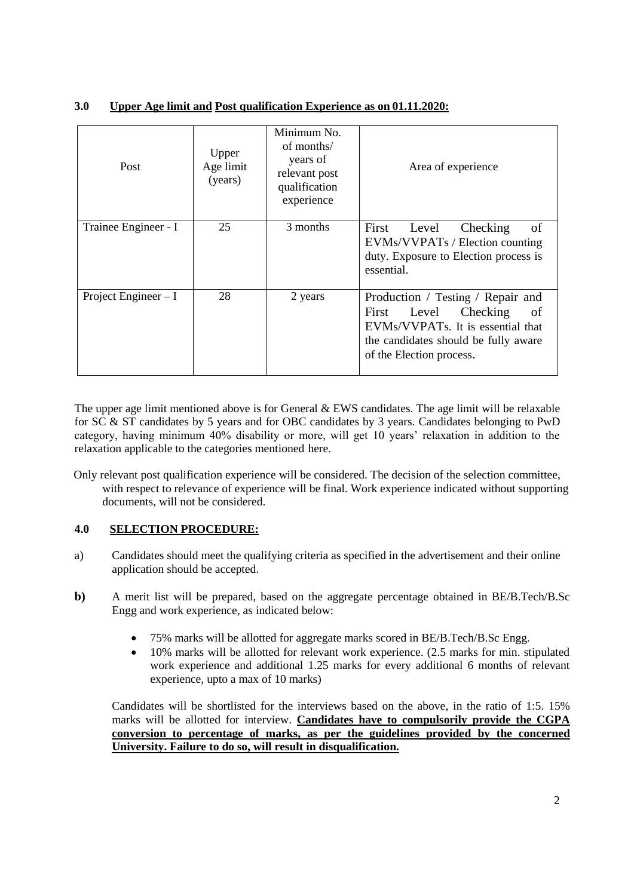| 3.0 |  | Upper Age limit and Post qualification Experience as on 01.11.2020: |
|-----|--|---------------------------------------------------------------------|
|     |  |                                                                     |

| Post                  | Upper<br>Age limit<br>(years) | Minimum No.<br>of months/<br>years of<br>relevant post<br>qualification<br>experience | Area of experience                                                                                                                                                             |
|-----------------------|-------------------------------|---------------------------------------------------------------------------------------|--------------------------------------------------------------------------------------------------------------------------------------------------------------------------------|
| Trainee Engineer - I  | 25                            | 3 months                                                                              | Checking<br>οf<br>Level<br>First<br>EVMs/VVPATs / Election counting<br>duty. Exposure to Election process is<br>essential.                                                     |
| Project Engineer $-I$ | 28                            | 2 years                                                                               | Production / Testing / Repair and<br>Checking<br>First<br>Level<br>of<br>EVMs/VVPATs. It is essential that<br>the candidates should be fully aware<br>of the Election process. |

The upper age limit mentioned above is for General  $\&$  EWS candidates. The age limit will be relaxable for SC & ST candidates by 5 years and for OBC candidates by 3 years. Candidates belonging to PwD category, having minimum 40% disability or more, will get 10 years' relaxation in addition to the relaxation applicable to the categories mentioned here.

 Only relevant post qualification experience will be considered. The decision of the selection committee, with respect to relevance of experience will be final. Work experience indicated without supporting documents, will not be considered.

# **4.0 SELECTION PROCEDURE:**

- a) Candidates should meet the qualifying criteria as specified in the advertisement and their online application should be accepted.
- **b)** A merit list will be prepared, based on the aggregate percentage obtained in BE/B.Tech/B.Sc Engg and work experience, as indicated below:
	- 75% marks will be allotted for aggregate marks scored in BE/B.Tech/B.Sc Engg.
	- 10% marks will be allotted for relevant work experience. (2.5 marks for min. stipulated work experience and additional 1.25 marks for every additional 6 months of relevant experience, upto a max of 10 marks)

Candidates will be shortlisted for the interviews based on the above, in the ratio of 1:5. 15% marks will be allotted for interview. **Candidates have to compulsorily provide the CGPA conversion to percentage of marks, as per the guidelines provided by the concerned University. Failure to do so, will result in disqualification.**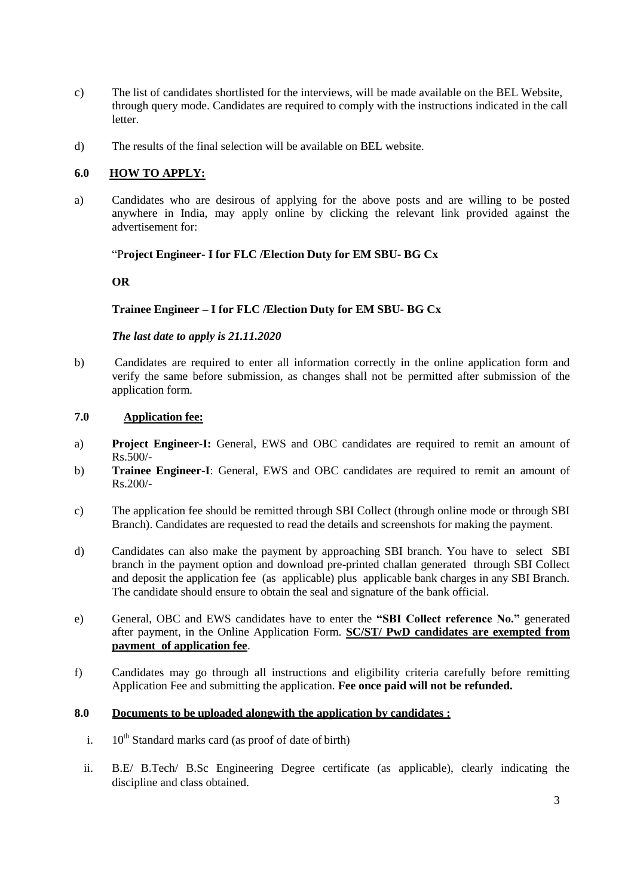- c) The list of candidates shortlisted for the interviews, will be made available on the BEL Website, through query mode. Candidates are required to comply with the instructions indicated in the call letter.
- d) The results of the final selection will be available on BEL website.

## **6.0 HOW TO APPLY:**

a) Candidates who are desirous of applying for the above posts and are willing to be posted anywhere in India, may apply online by clicking the relevant link provided against the advertisement for:

#### "P**roject Engineer- I for FLC /Election Duty for EM SBU- BG Cx**

#### **OR**

### **Trainee Engineer – I for FLC /Election Duty for EM SBU- BG Cx**

#### *The last date to apply is 21.11.2020*

b) Candidates are required to enter all information correctly in the online application form and verify the same before submission, as changes shall not be permitted after submission of the application form.

#### **7.0 Application fee:**

- a) **Project Engineer-I:** General, EWS and OBC candidates are required to remit an amount of Rs.500/-
- b) **Trainee Engineer-I**: General, EWS and OBC candidates are required to remit an amount of Rs.200/-
- c) The application fee should be remitted through SBI Collect (through online mode or through SBI Branch). Candidates are requested to read the details and screenshots for making the payment.
- d) Candidates can also make the payment by approaching SBI branch. You have to select SBI branch in the payment option and download pre-printed challan generated through SBI Collect and deposit the application fee (as applicable) plus applicable bank charges in any SBI Branch. The candidate should ensure to obtain the seal and signature of the bank official.
- e) General, OBC and EWS candidates have to enter the **"SBI Collect reference No."** generated after payment, in the Online Application Form. **SC/ST/ PwD candidates are exempted from payment of application fee**.
- f) Candidates may go through all instructions and eligibility criteria carefully before remitting Application Fee and submitting the application. **Fee once paid will not be refunded.**

#### **8.0 Documents to be uploaded alongwith the application by candidates :**

- i.  $10^{th}$  Standard marks card (as proof of date of birth)
- ii. B.E/ B.Tech/ B.Sc Engineering Degree certificate (as applicable), clearly indicating the discipline and class obtained.